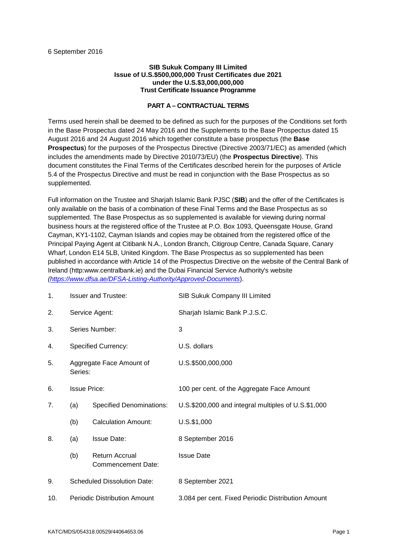#### **SIB Sukuk Company III Limited Issue of U.S.\$500,000,000 Trust Certificates due 2021 under the U.S.\$3,000,000,000 Trust Certificate Issuance Programme**

# **PART A – CONTRACTUAL TERMS**

Terms used herein shall be deemed to be defined as such for the purposes of the Conditions set forth in the Base Prospectus dated 24 May 2016 and the Supplements to the Base Prospectus dated 15 August 2016 and 24 August 2016 which together constitute a base prospectus (the **Base Prospectus**) for the purposes of the Prospectus Directive (Directive 2003/71/EC) as amended (which includes the amendments made by Directive 2010/73/EU) (the **Prospectus Directive**). This document constitutes the Final Terms of the Certificates described herein for the purposes of Article 5.4 of the Prospectus Directive and must be read in conjunction with the Base Prospectus as so supplemented.

Full information on the Trustee and Sharjah Islamic Bank PJSC (**SIB**) and the offer of the Certificates is only available on the basis of a combination of these Final Terms and the Base Prospectus as so supplemented. The Base Prospectus as so supplemented is available for viewing during normal business hours at the registered office of the Trustee at P.O. Box 1093, Queensgate House, Grand Cayman, KY1-1102, Cayman Islands and copies may be obtained from the registered office of the Principal Paying Agent at Citibank N.A., London Branch, Citigroup Centre, Canada Square, Canary Wharf, London E14 5LB, United Kingdom. The Base Prospectus as so supplemented has been published in accordance with Article 14 of the Prospectus Directive on the website of the Central Bank of Ireland (http:www.centralbank.ie) and the Dubai Financial Service Authority's website *(https://www.dfsa.ae/DFSA-Listing-Authority/Approved-Documents*).

| 1.  | <b>Issuer and Trustee:</b>          |                                             | SIB Sukuk Company III Limited                       |
|-----|-------------------------------------|---------------------------------------------|-----------------------------------------------------|
| 2.  | Service Agent:                      |                                             | Sharjah Islamic Bank P.J.S.C.                       |
| 3.  |                                     | Series Number:                              | 3                                                   |
| 4.  | <b>Specified Currency:</b>          |                                             | U.S. dollars                                        |
| 5.  | Aggregate Face Amount of<br>Series: |                                             | U.S.\$500,000,000                                   |
| 6.  | <b>Issue Price:</b>                 |                                             | 100 per cent. of the Aggregate Face Amount          |
| 7.  | (a)                                 | <b>Specified Denominations:</b>             | U.S.\$200,000 and integral multiples of U.S.\$1,000 |
|     | (b)                                 | <b>Calculation Amount:</b>                  | $U.S.$ \$1,000                                      |
| 8.  | (a)                                 | <b>Issue Date:</b>                          | 8 September 2016                                    |
|     | (b)                                 | <b>Return Accrual</b><br>Commencement Date: | <b>Issue Date</b>                                   |
| 9.  | <b>Scheduled Dissolution Date:</b>  |                                             | 8 September 2021                                    |
| 10. | <b>Periodic Distribution Amount</b> |                                             | 3.084 per cent. Fixed Periodic Distribution Amount  |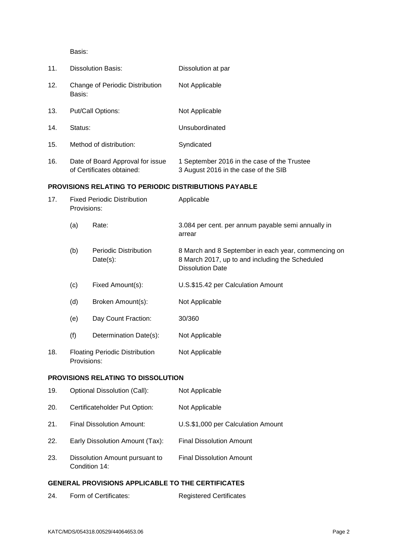Basis:

| 11. | Dissolution Basis:                                            | Dissolution at par                                                                  |
|-----|---------------------------------------------------------------|-------------------------------------------------------------------------------------|
| 12. | Change of Periodic Distribution<br>Basis:                     | Not Applicable                                                                      |
| 13. | Put/Call Options:                                             | Not Applicable                                                                      |
| 14. | Status:                                                       | Unsubordinated                                                                      |
| 15. | Method of distribution:                                       | Syndicated                                                                          |
| 16. | Date of Board Approval for issue<br>of Certificates obtained: | 1 September 2016 in the case of the Trustee<br>3 August 2016 in the case of the SIB |

# **PROVISIONS RELATING TO PERIODIC DISTRIBUTIONS PAYABLE**

| 17.                                | <b>Fixed Periodic Distribution</b><br>Provisions: |                                          | Applicable                                                                                                                        |  |
|------------------------------------|---------------------------------------------------|------------------------------------------|-----------------------------------------------------------------------------------------------------------------------------------|--|
|                                    | (a)                                               | Rate:                                    | 3.084 per cent. per annum payable semi annually in<br>arrear                                                                      |  |
|                                    | (b)                                               | <b>Periodic Distribution</b><br>Date(s): | 8 March and 8 September in each year, commencing on<br>8 March 2017, up to and including the Scheduled<br><b>Dissolution Date</b> |  |
|                                    | (c)                                               | Fixed Amount(s):                         | U.S.\$15.42 per Calculation Amount                                                                                                |  |
|                                    | (d)                                               | Broken Amount(s):                        | Not Applicable                                                                                                                    |  |
|                                    | (e)                                               | Day Count Fraction:                      | 30/360                                                                                                                            |  |
|                                    | (f)                                               | Determination Date(s):                   | Not Applicable                                                                                                                    |  |
| 18.                                | Provisions:                                       | <b>Floating Periodic Distribution</b>    | Not Applicable                                                                                                                    |  |
| PROVISIONS RELATING TO DISSOLUTION |                                                   |                                          |                                                                                                                                   |  |

# 19. Optional Dissolution (Call): Not Applicable

| 19. | Optional Dissolution (Call):                    | NOT Applicable                     |
|-----|-------------------------------------------------|------------------------------------|
| 20. | Certificateholder Put Option:                   | Not Applicable                     |
| 21. | Final Dissolution Amount:                       | U.S.\$1,000 per Calculation Amount |
| 22. | Early Dissolution Amount (Tax):                 | <b>Final Dissolution Amount</b>    |
| 23. | Dissolution Amount pursuant to<br>Condition 14: | <b>Final Dissolution Amount</b>    |

# **GENERAL PROVISIONS APPLICABLE TO THE CERTIFICATES**

| 24. | Form of Certificates: | <b>Registered Certificates</b> |
|-----|-----------------------|--------------------------------|
|     |                       |                                |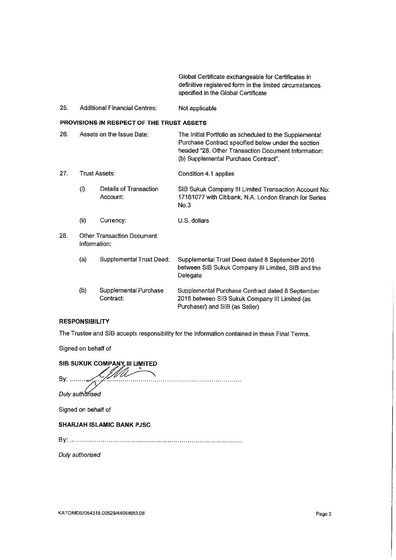Global Certificate exchangeable for Certificates in definitive registered form in the limited circumstances specified in the Global Certificate

25. **Additional Financial Centres:** Not applicable

# PROVISIONS IN RESPECT OF THE TRUST ASSETS

| 26.                                               |               | Assets on the Issue Date:          | The Initial Portfolio as scheduled to the Supplemental<br>Purchase Contract specified below under the section<br>headed "28. Other Transaction Document Information:<br>(b) Supplemental Purchase Contract". |
|---------------------------------------------------|---------------|------------------------------------|--------------------------------------------------------------------------------------------------------------------------------------------------------------------------------------------------------------|
| 27.                                               | Trust Assets: |                                    | Condition 4.1 applies                                                                                                                                                                                        |
|                                                   | $\circ$       | Details of Transaction<br>Account: | SIB Sukuk Company III Limited Transaction Account No:<br>17161077 with Citibank, N.A. London Branch for Series<br>No.3                                                                                       |
|                                                   | (ii)          | Currency:                          | U.S. dollars                                                                                                                                                                                                 |
| 28.<br>Other Transaction Document<br>Information: |               |                                    |                                                                                                                                                                                                              |
|                                                   | (a)           | Supplemental Trust Deed:           | Supplemental Trust Deed dated 8 September 2016<br>between SIB Sukuk Company III Limited, SIB and the<br>Delegate                                                                                             |
|                                                   | (b)           | Supplemental Purchase<br>Contract: | Supplemental Purchase Contract dated 8 September<br>2016 between SIB Sukuk Company III Limited (as<br>Purchaser) and SIB (as Seller)                                                                         |

#### **RESPONSIBILITY**

The Trustee and SIB accepts responsibility for the information contained in these Final Terms.

Signed on behalf of

| SIB SUKUK COMPANY III LIMITED    |
|----------------------------------|
| By:                              |
| Duly authorised                  |
| Signed on behalf of              |
| <b>SHARJAH ISLAMIC BANK PJSC</b> |
| B۷.                              |

Duly authorised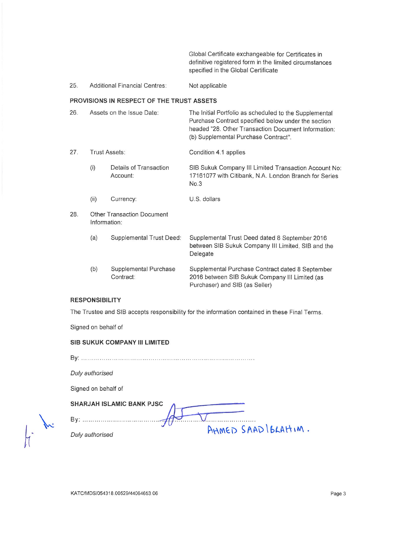Global Certificate exchangeable for Certificates in definitive registered form in the limited circumstances specified in the Global Certificate

#### Additional Financial Centres: 25. Not applicable

#### PROVISIONS IN RESPECT OF THE TRUST ASSETS

| 26.                                               | Assets on the Issue Date: |                                    | The Initial Portfolio as scheduled to the Supplemental<br>Purchase Contract specified below under the section<br>headed "28. Other Transaction Document Information:<br>(b) Supplemental Purchase Contract". |
|---------------------------------------------------|---------------------------|------------------------------------|--------------------------------------------------------------------------------------------------------------------------------------------------------------------------------------------------------------|
| 27.                                               | Trust Assets:             |                                    | Condition 4.1 applies                                                                                                                                                                                        |
|                                                   | (i)                       | Details of Transaction<br>Account: | SIB Sukuk Company III Limited Transaction Account No:<br>17161077 with Citibank, N.A. London Branch for Series<br>No.3                                                                                       |
|                                                   | (ii)                      | Currency:                          | U.S. dollars                                                                                                                                                                                                 |
| Other Transaction Document<br>28.<br>Information: |                           |                                    |                                                                                                                                                                                                              |
|                                                   | (a)                       | Supplemental Trust Deed:           | Supplemental Trust Deed dated 8 September 2016<br>between SIB Sukuk Company III Limited, SIB and the<br>Delegate                                                                                             |
|                                                   | (b)                       | Supplemental Purchase<br>Contract: | Supplemental Purchase Contract dated 8 September<br>2016 between SIB Sukuk Company III Limited (as<br>Purchaser) and SIB (as Seller)                                                                         |

# **RESPONSIBILITY**

The Trustee and SIB accepts responsibility for the information contained in these Final Terms.

Signed on behalf of

#### SIB SUKUK COMPANY III LIMITED

Duly authorised

Signed on behalf of

#### SHARJAH ISLAMIC BANK PJSC

AHMED SAAD IBLAHIM. Duly authorised

KATC/MDS/054318.00529/44064653.06